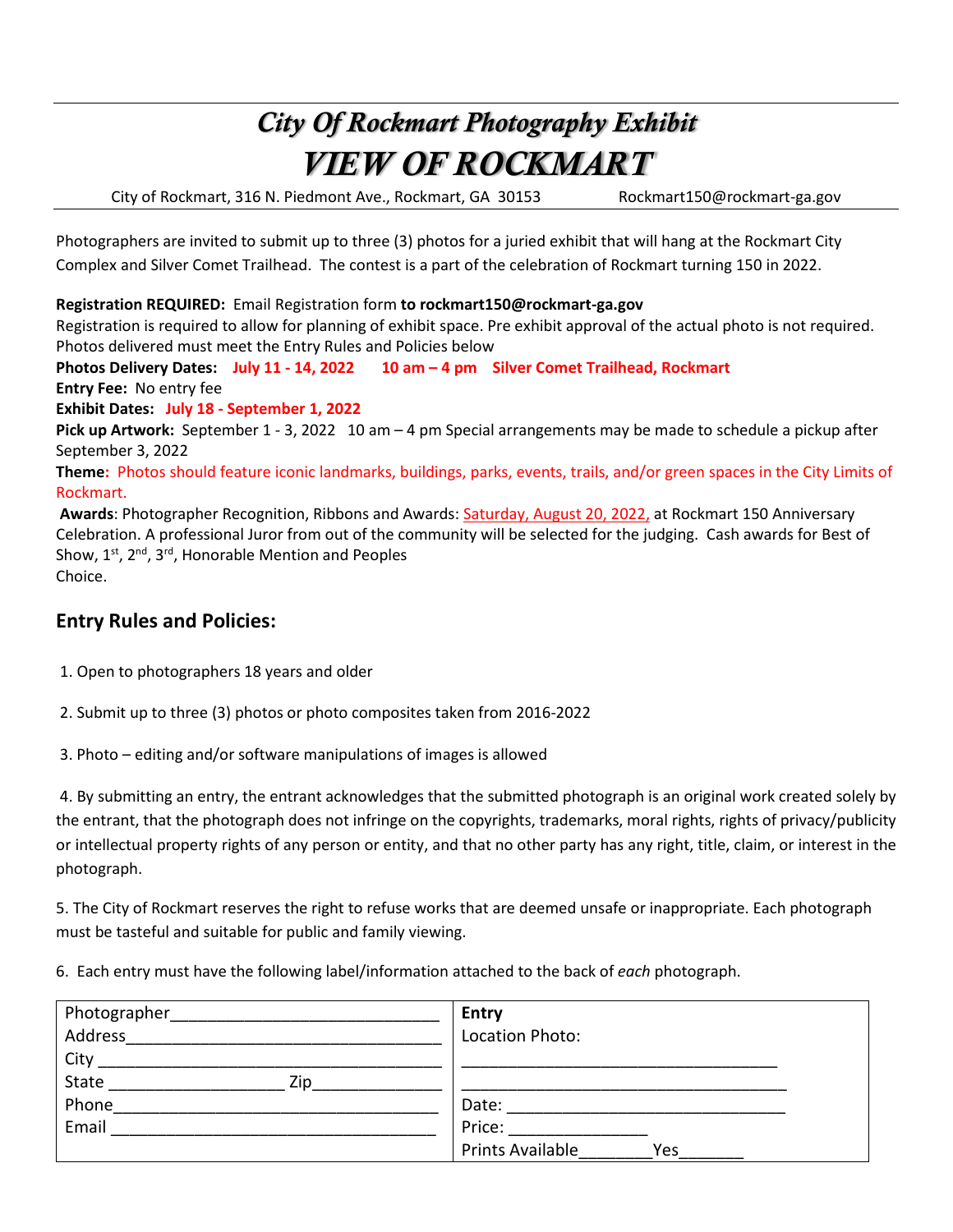## *City Of Rockmart Photography Exhibit VIEW OF ROCKMART*

City of Rockmart, 316 N. Piedmont Ave., Rockmart, GA 30153 Rockmart150@rockmart-ga.gov

Photographers are invited to submit up to three (3) photos for a juried exhibit that will hang at the Rockmart City Complex and Silver Comet Trailhead. The contest is a part of the celebration of Rockmart turning 150 in 2022.

**Registration REQUIRED:** Email Registration form **to rockmart150@rockmart-ga.gov**

Registration is required to allow for planning of exhibit space. Pre exhibit approval of the actual photo is not required. Photos delivered must meet the Entry Rules and Policies below

**Photos Delivery Dates: July 11 - 14, 2022 10 am – 4 pm Silver Comet Trailhead, Rockmart Entry Fee:** No entry fee

**Exhibit Dates: July 18 - September 1, 2022**

**Pick up Artwork:** September 1 - 3, 2022 10 am – 4 pm Special arrangements may be made to schedule a pickup after September 3, 2022

**Theme:** Photos should feature iconic landmarks, buildings, parks, events, trails, and/or green spaces in the City Limits of Rockmart.

**Awards**: Photographer Recognition, Ribbons and Awards: Saturday, August 20, 2022, at Rockmart 150 Anniversary Celebration. A professional Juror from out of the community will be selected for the judging. Cash awards for Best of Show,  $1^{st}$ ,  $2^{nd}$ ,  $3^{rd}$ , Honorable Mention and Peoples Choice.

## **Entry Rules and Policies:**

1. Open to photographers 18 years and older

2. Submit up to three (3) photos or photo composites taken from 2016-2022

3. Photo – editing and/or software manipulations of images is allowed

 4. By submitting an entry, the entrant acknowledges that the submitted photograph is an original work created solely by the entrant, that the photograph does not infringe on the copyrights, trademarks, moral rights, rights of privacy/publicity or intellectual property rights of any person or entity, and that no other party has any right, title, claim, or interest in the photograph.

5. The City of Rockmart reserves the right to refuse works that are deemed unsafe or inappropriate. Each photograph must be tasteful and suitable for public and family viewing.

6. Each entry must have the following label/information attached to the back of *each* photograph.

| Photographer | <b>Entry</b>                   |
|--------------|--------------------------------|
| Address      | Location Photo:                |
| City         |                                |
| State<br>Zin |                                |
| Phone        | Date:                          |
| Email        | Price:                         |
|              | <b>Prints Available</b><br>Yes |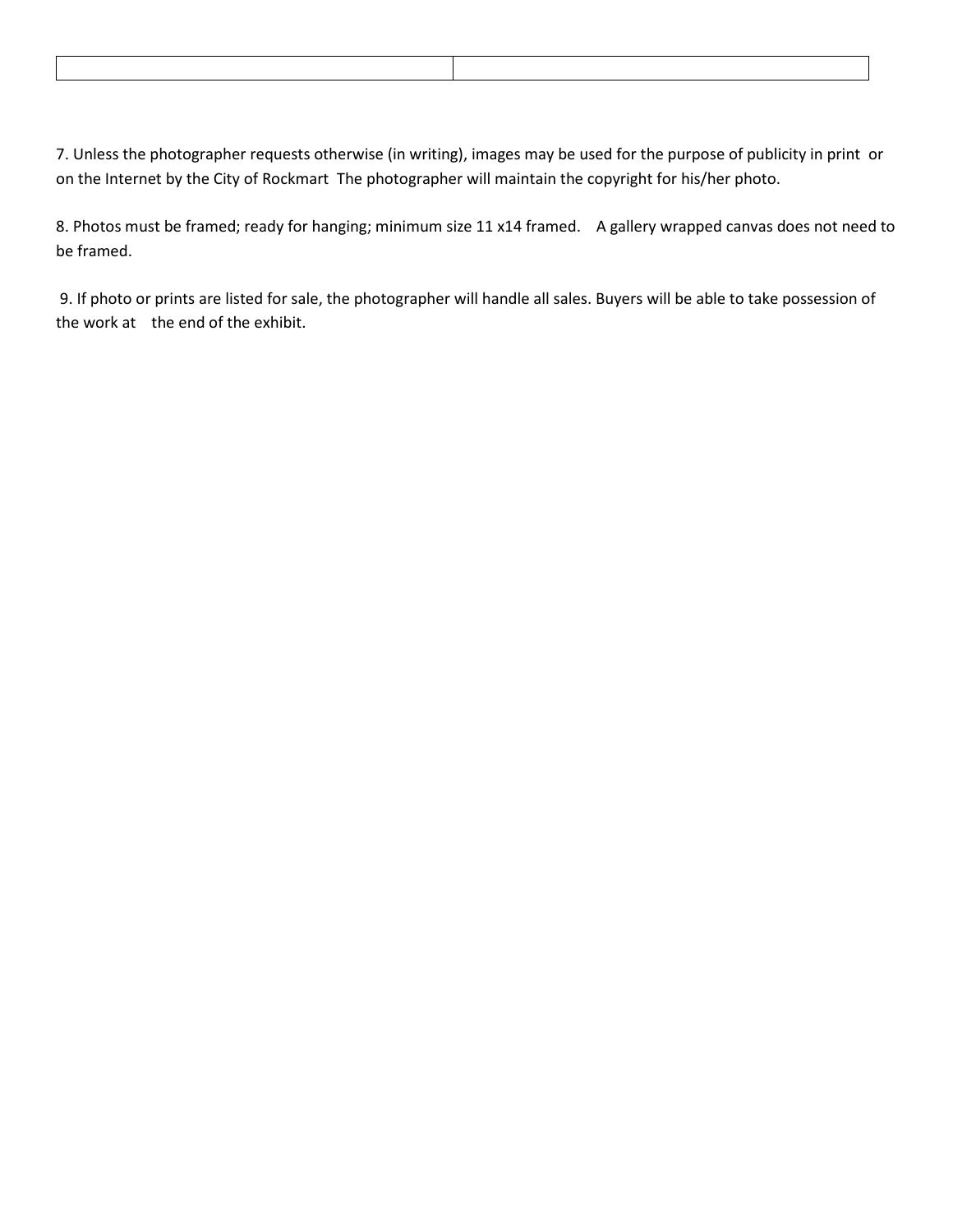| <u>standard and the state of the state of the state of the state of the state of the state of the state of the sta</u> |  |
|------------------------------------------------------------------------------------------------------------------------|--|
|                                                                                                                        |  |
|                                                                                                                        |  |
|                                                                                                                        |  |
|                                                                                                                        |  |

7. Unless the photographer requests otherwise (in writing), images may be used for the purpose of publicity in print or on the Internet by the City of Rockmart The photographer will maintain the copyright for his/her photo.

8. Photos must be framed; ready for hanging; minimum size 11 x14 framed. A gallery wrapped canvas does not need to be framed.

9. If photo or prints are listed for sale, the photographer will handle all sales. Buyers will be able to take possession of the work at the end of the exhibit.